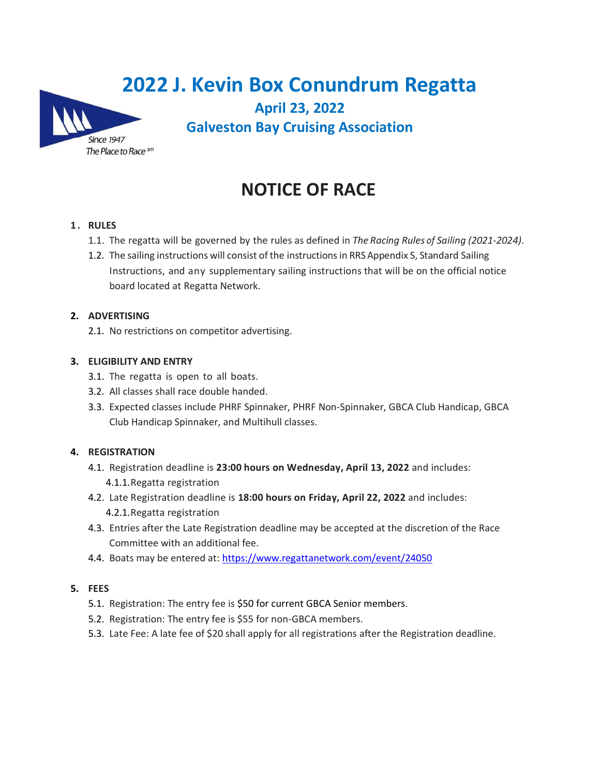| 2022 J. Kevin Box Conundrum Regatta |                                           |  |  |
|-------------------------------------|-------------------------------------------|--|--|
|                                     | <b>April 23, 2022</b>                     |  |  |
| <b>Since 1947</b>                   | <b>Galveston Bay Cruising Association</b> |  |  |
| The Place to Race sm                |                                           |  |  |

# **NOTICE OF RACE**

## **1 . RULES**

- 1.1. The regatta will be governed by the rules as defined in *The Racing Rules of Sailing (2021-2024)*.
- 1.2. The sailing instructions will consist of the instructions in RRS Appendix S, Standard Sailing Instructions, and any supplementary sailing instructions that will be on the official notice board located at Regatta Network.

## **2. ADVERTISING**

2.1. No restrictions on competitor advertising.

## **3. ELIGIBILITY AND ENTRY**

- 3.1. The regatta is open to all boats.
- 3.2. All classes shall race double handed.
- 3.3. Expected classes include PHRF Spinnaker, PHRF Non-Spinnaker, GBCA Club Handicap, GBCA Club Handicap Spinnaker, and Multihull classes.

# **4. REGISTRATION**

- 4.1. Registration deadline is **23:00 hours on Wednesday, April 13, 2022** and includes: 4.1.1.Regatta registration
- 4.2. Late Registration deadline is **18:00 hours on Friday, April 22, 2022** and includes: 4.2.1.Regatta registration
- 4.3. Entries after the Late Registration deadline may be accepted at the discretion of the Race Committee with an additional fee.
- 4.4. Boats may be entered at:<https://www.regattanetwork.com/event/24050>

### **5. FEES**

- 5.1. Registration: The entry fee is \$50 for current GBCA Senior members.
- 5.2. Registration: The entry fee is \$55 for non-GBCA members.
- 5.3. Late Fee: A late fee of \$20 shall apply for all registrations after the Registration deadline.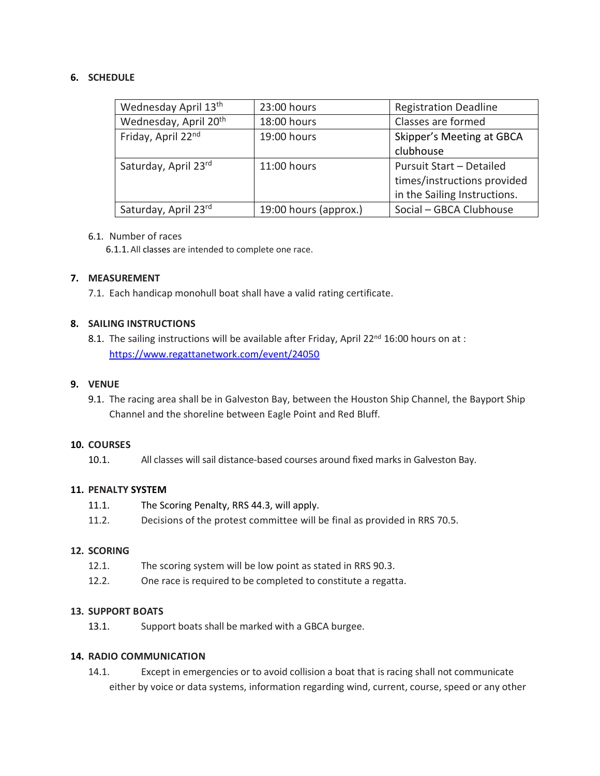## **6. SCHEDULE**

| Wednesday April 13 <sup>th</sup>  | 23:00 hours           | <b>Registration Deadline</b>                                                                   |
|-----------------------------------|-----------------------|------------------------------------------------------------------------------------------------|
| Wednesday, April 20 <sup>th</sup> | 18:00 hours           | Classes are formed                                                                             |
| Friday, April 22nd                | 19:00 hours           | Skipper's Meeting at GBCA<br>clubhouse                                                         |
| Saturday, April 23rd              | 11:00 hours           | <b>Pursuit Start - Detailed</b><br>times/instructions provided<br>in the Sailing Instructions. |
| Saturday, April 23rd              | 19:00 hours (approx.) | Social - GBCA Clubhouse                                                                        |

#### 6.1. Number of races

6.1.1.All classes are intended to complete one race.

### **7. MEASUREMENT**

7.1. Each handicap monohull boat shall have a valid rating certificate.

## **8. SAILING INSTRUCTIONS**

8.1. The sailing instructions will be available after Friday, April 22<sup>nd</sup> 16:00 hours on at : <https://www.regattanetwork.com/event/24050>

## **9. VENUE**

9.1. The racing area shall be in Galveston Bay, between the Houston Ship Channel, the Bayport Ship Channel and the shoreline between Eagle Point and Red Bluff.

### **10. COURSES**

10.1. All classes will sail distance-based courses around fixed marks in Galveston Bay.

## **11. PENALTY SYSTEM**

- 11.1. The Scoring Penalty, RRS 44.3, will apply.
- 11.2. Decisions of the protest committee will be final as provided in RRS 70.5.

### **12. SCORING**

- 12.1. The scoring system will be low point as stated in RRS 90.3.
- 12.2. One race is required to be completed to constitute a regatta.

### **13. SUPPORT BOATS**

13.1. Support boats shall be marked with a GBCA burgee.

### **14. RADIO COMMUNICATION**

14.1. Except in emergencies or to avoid collision a boat that is racing shall not communicate either by voice or data systems, information regarding wind, current, course, speed or any other